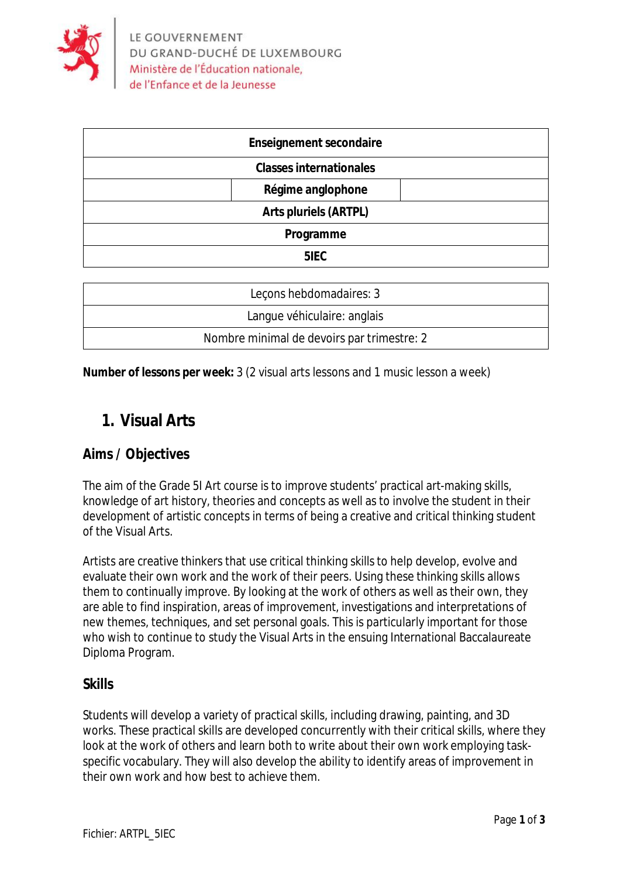

| <b>Enseignement secondaire</b> |  |
|--------------------------------|--|
| <b>Classes internationales</b> |  |
| Régime anglophone              |  |
| <b>Arts pluriels (ARTPL)</b>   |  |
| Programme                      |  |
| 5IEC                           |  |
|                                |  |

| Leçons hebdomadaires: 3                    |
|--------------------------------------------|
| Langue véhiculaire: anglais                |
| Nombre minimal de devoirs par trimestre: 2 |

**Number of lessons per week:** 3 (2 visual arts lessons and 1 music lesson a week)

# **1. Visual Arts**

### **Aims / Objectives**

The aim of the Grade 5I Art course is to improve students' practical art-making skills, knowledge of art history, theories and concepts as well as to involve the student in their development of artistic concepts in terms of being a creative and critical thinking student of the Visual Arts.

Artists are creative thinkers that use critical thinking skills to help develop, evolve and evaluate their own work and the work of their peers. Using these thinking skills allows them to continually improve. By looking at the work of others as well as their own, they are able to find inspiration, areas of improvement, investigations and interpretations of new themes, techniques, and set personal goals. This is particularly important for those who wish to continue to study the Visual Arts in the ensuing International Baccalaureate Diploma Program.

### **Skills**

Students will develop a variety of practical skills, including drawing, painting, and 3D works. These practical skills are developed concurrently with their critical skills, where they look at the work of others and learn both to write about their own work employing taskspecific vocabulary. They will also develop the ability to identify areas of improvement in their own work and how best to achieve them.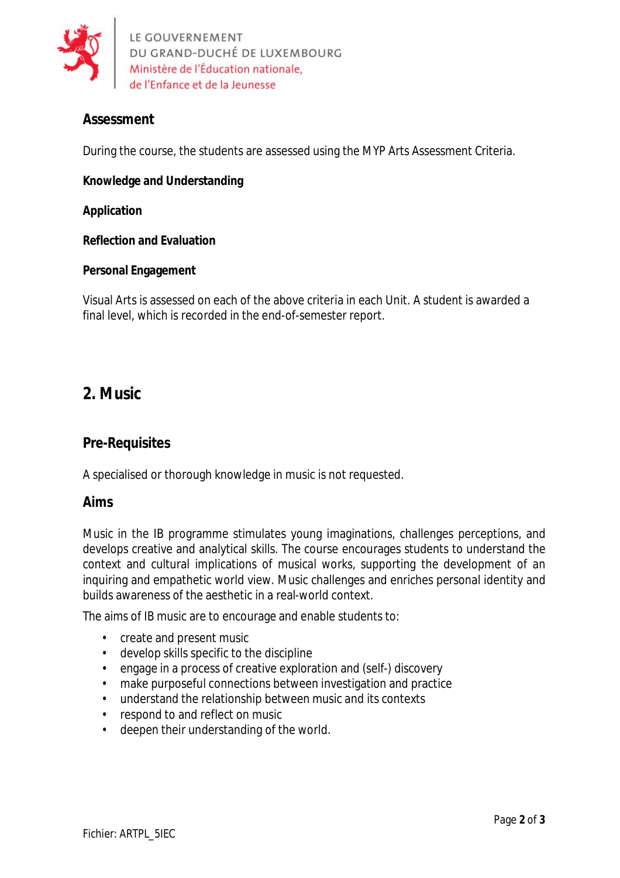

LE GOUVERNEMENT DU GRAND-DUCHÉ DE LUXEMBOURG Ministère de l'Éducation nationale, de l'Enfance et de la Jeunesse

# **Assessment**

During the course, the students are assessed using the MYP Arts Assessment Criteria.

**Knowledge and Understanding**

**Application**

**Reflection and Evaluation**

#### **Personal Engagement**

Visual Arts is assessed on each of the above criteria in each Unit. A student is awarded a final level, which is recorded in the end-of-semester report.

# **2. Music**

### **Pre-Requisites**

A specialised or thorough knowledge in music is not requested.

#### **Aims**

Music in the IB programme stimulates young imaginations, challenges perceptions, and develops creative and analytical skills. The course encourages students to understand the context and cultural implications of musical works, supporting the development of an inquiring and empathetic world view. Music challenges and enriches personal identity and builds awareness of the aesthetic in a real-world context.

The aims of IB music are to encourage and enable students to:

- create and present music
- develop skills specific to the discipline
- engage in a process of creative exploration and (self-) discovery
- make purposeful connections between investigation and practice
- understand the relationship between music and its contexts
- respond to and reflect on music
- deepen their understanding of the world.